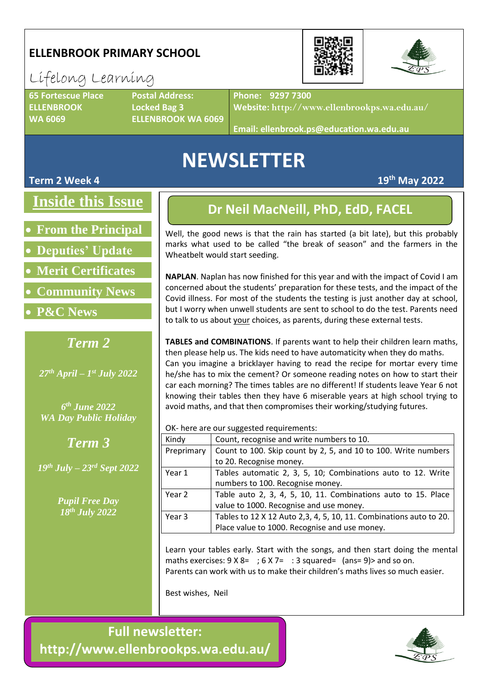### **ELLENBROOK PRIMARY SCHOOL**

# Lifelong Learning

**ELLENBROOK Locked Bag 3**

**65 Fortescue Place Postal Address: WA 6069 ELLENBROOK WA 6069**

**Phone: 9297 7300**

**Website: http://www.ellenbrookps.wa.edu.au/**

**Email: ellenbrook.ps@education.wa.edu.au**

# **NEWSLETTER**

### **Term 2 Week 4 19th May 2022**

**Inside this Issue**

- **From the Principal**
- **Deputies' Update**
- **Merit Certificates**
- **Community News**
- **P&C News**

### *Term 2*

*27th April – 1 st July 2022*

*6 th June 2022 WA Day Public Holiday*

*Term 3*

*19th July – 23rd Sept 2022*

*Pupil Free Day 18th July 2022*

### **Dr Neil MacNeill, PhD, EdD, FACEL**

Well, the good news is that the rain has started (a bit late), but this probably marks what used to be called "the break of season" and the farmers in the Wheatbelt would start seeding.

**NAPLAN**. Naplan has now finished for this year and with the impact of Covid I am concerned about the students' preparation for these tests, and the impact of the Covid illness. For most of the students the testing is just another day at school, but I worry when unwell students are sent to school to do the test. Parents need to talk to us about your choices, as parents, during these external tests.

**TABLES and COMBINATIONS**. If parents want to help their children learn maths, then please help us. The kids need to have automaticity when they do maths. Can you imagine a bricklayer having to read the recipe for mortar every time he/she has to mix the cement? Or someone reading notes on how to start their car each morning? The times tables are no different! If students leave Year 6 not knowing their tables then they have 6 miserable years at high school trying to avoid maths, and that then compromises their working/studying futures.

OK- here are our suggested requirements:

| Kindy      | Count, recognise and write numbers to 10.                          |  |  |
|------------|--------------------------------------------------------------------|--|--|
| Preprimary | Count to 100. Skip count by 2, 5, and 10 to 100. Write numbers     |  |  |
|            | to 20. Recognise money.                                            |  |  |
| Year 1     | Tables automatic 2, 3, 5, 10; Combinations auto to 12. Write       |  |  |
|            | numbers to 100. Recognise money.                                   |  |  |
| Year 2     | Table auto 2, 3, 4, 5, 10, 11. Combinations auto to 15. Place      |  |  |
|            | value to 1000. Recognise and use money.                            |  |  |
| Year 3     | Tables to 12 X 12 Auto 2,3, 4, 5, 10, 11. Combinations auto to 20. |  |  |
|            | Place value to 1000. Recognise and use money.                      |  |  |

Learn your tables early. Start with the songs, and then start doing the mental maths exercises:  $9 \times 8 = 6 \times 7 = 3$  squared= (ans= 9) > and so on. Parents can work with us to make their children's maths lives so much easier.

Best wishes, Neil

**Full newsletter: http://www.ellenbrookps.wa.edu.au/**



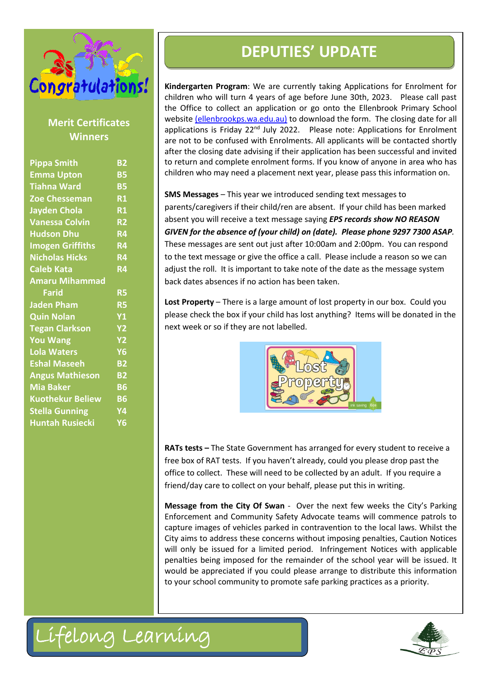

### **Merit Certificates Winners**

|                                                                                       |                        | <b>DEPUTIES' UPDATE</b>                                                                                                                                                                                                                                                                                                                                                                                                                                                                                                                                                                                                                                                                                                                                     |  |
|---------------------------------------------------------------------------------------|------------------------|-------------------------------------------------------------------------------------------------------------------------------------------------------------------------------------------------------------------------------------------------------------------------------------------------------------------------------------------------------------------------------------------------------------------------------------------------------------------------------------------------------------------------------------------------------------------------------------------------------------------------------------------------------------------------------------------------------------------------------------------------------------|--|
| Congratulations!<br><b>Merit Certificates</b><br><b>Winners</b><br><b>Pippa Smith</b> | <b>B2</b>              | Kindergarten Program: We are currently taking Applicati<br>children who will turn 4 years of age before June 30th, 2<br>the Office to collect an application or go onto the Ellen<br>website (ellenbrookps.wa.edu.au) to download the form.<br>applications is Friday 22 <sup>nd</sup> July 2022. Please note: Appli<br>are not to be confused with Enrolments. All applicants wil<br>after the closing date advising if their application has been<br>to return and complete enrolment forms. If you know of a                                                                                                                                                                                                                                             |  |
| <b>Emma Upton</b>                                                                     | <b>B5</b>              | children who may need a placement next year, please pass                                                                                                                                                                                                                                                                                                                                                                                                                                                                                                                                                                                                                                                                                                    |  |
| <b>Tiahna Ward</b>                                                                    | <b>B5</b>              |                                                                                                                                                                                                                                                                                                                                                                                                                                                                                                                                                                                                                                                                                                                                                             |  |
| <b>Zoe Chesseman</b>                                                                  | <b>R1</b>              | SMS Messages - This year we introduced sending text mes                                                                                                                                                                                                                                                                                                                                                                                                                                                                                                                                                                                                                                                                                                     |  |
| <b>Jayden Chola</b>                                                                   | <b>R1</b>              | parents/caregivers if their child/ren are absent. If your chil                                                                                                                                                                                                                                                                                                                                                                                                                                                                                                                                                                                                                                                                                              |  |
| <b>Vanessa Colvin</b>                                                                 | <b>R2</b>              | absent you will receive a text message saying EPS records s                                                                                                                                                                                                                                                                                                                                                                                                                                                                                                                                                                                                                                                                                                 |  |
| <b>Hudson Dhu</b>                                                                     | <b>R4</b>              | GIVEN for the absence of (your child) on (date). Please ph                                                                                                                                                                                                                                                                                                                                                                                                                                                                                                                                                                                                                                                                                                  |  |
| <b>Imogen Griffiths</b>                                                               | <b>R4</b>              | These messages are sent out just after 10:00am and 2:00pr                                                                                                                                                                                                                                                                                                                                                                                                                                                                                                                                                                                                                                                                                                   |  |
| <b>Nicholas Hicks</b>                                                                 | <b>R4</b>              | to the text message or give the office a call. Please include                                                                                                                                                                                                                                                                                                                                                                                                                                                                                                                                                                                                                                                                                               |  |
| <b>Caleb Kata</b><br><b>R4</b>                                                        |                        | adjust the roll. It is important to take note of the date as th<br>back dates absences if no action has been taken.                                                                                                                                                                                                                                                                                                                                                                                                                                                                                                                                                                                                                                         |  |
| <b>Amaru Mihammad</b><br><b>Farid</b><br><b>R5</b>                                    |                        |                                                                                                                                                                                                                                                                                                                                                                                                                                                                                                                                                                                                                                                                                                                                                             |  |
| <b>Jaden Pham</b>                                                                     | <b>R5</b>              | Lost Property - There is a large amount of lost property in                                                                                                                                                                                                                                                                                                                                                                                                                                                                                                                                                                                                                                                                                                 |  |
| <b>Quin Nolan</b>                                                                     | <b>Y1</b>              | please check the box if your child has lost anything? Items                                                                                                                                                                                                                                                                                                                                                                                                                                                                                                                                                                                                                                                                                                 |  |
| <b>Tegan Clarkson</b>                                                                 | <b>Y2</b>              | next week or so if they are not labelled.                                                                                                                                                                                                                                                                                                                                                                                                                                                                                                                                                                                                                                                                                                                   |  |
| <b>You Wang</b>                                                                       | <b>Y2</b>              |                                                                                                                                                                                                                                                                                                                                                                                                                                                                                                                                                                                                                                                                                                                                                             |  |
| <b>Lola Waters</b>                                                                    | <b>Y6</b>              |                                                                                                                                                                                                                                                                                                                                                                                                                                                                                                                                                                                                                                                                                                                                                             |  |
| <b>Eshal Maseeh</b>                                                                   | <b>B2</b>              |                                                                                                                                                                                                                                                                                                                                                                                                                                                                                                                                                                                                                                                                                                                                                             |  |
| <b>Angus Mathieson</b><br><b>Mia Baker</b>                                            | <b>B2</b><br><b>B6</b> |                                                                                                                                                                                                                                                                                                                                                                                                                                                                                                                                                                                                                                                                                                                                                             |  |
| <b>Kuothekur Beliew</b>                                                               | <b>B6</b>              |                                                                                                                                                                                                                                                                                                                                                                                                                                                                                                                                                                                                                                                                                                                                                             |  |
| <b>Stella Gunning</b>                                                                 | Υ4                     |                                                                                                                                                                                                                                                                                                                                                                                                                                                                                                                                                                                                                                                                                                                                                             |  |
| <b>Huntah Rusiecki</b>                                                                | <b>Y6</b>              |                                                                                                                                                                                                                                                                                                                                                                                                                                                                                                                                                                                                                                                                                                                                                             |  |
|                                                                                       |                        | <b>RATs tests - The State Government has arranged for every</b><br>free box of RAT tests. If you haven't already, could you ple<br>office to collect. These will need to be collected by an adul<br>friend/day care to collect on your behalf, please put this in<br>Message from the City Of Swan - Over the next few we<br>Enforcement and Community Safety Advocate teams will<br>capture images of vehicles parked in contravention to the<br>City aims to address these concerns without imposing pen<br>will only be issued for a limited period. Infringement N<br>penalties being imposed for the remainder of the school<br>would be appreciated if you could please arrange to distr<br>to your school community to promote safe parking practice |  |
| Lifelong Learning                                                                     |                        |                                                                                                                                                                                                                                                                                                                                                                                                                                                                                                                                                                                                                                                                                                                                                             |  |
|                                                                                       |                        |                                                                                                                                                                                                                                                                                                                                                                                                                                                                                                                                                                                                                                                                                                                                                             |  |

**Kindergarten Program**: We are currently taking Applications for Enrolment for children who will turn 4 years of age before June 30th, 2023. Please call past the Office to collect an application or go onto the Ellenbrook Primary School website [\(ellenbrookps.wa.edu.au\)](https://www.ellenbrookps.wa.edu.au/) to download the form. The closing date for all applications is Friday 22<sup>nd</sup> July 2022. Please note: Applications for Enrolment are not to be confused with Enrolments. All applicants will be contacted shortly after the closing date advising if their application has been successful and invited to return and complete enrolment forms. If you know of anyone in area who has children who may need a placement next year, please pass this information on.

**SMS Messages** – This year we introduced sending text messages to parents/caregivers if their child/ren are absent. If your child has been marked absent you will receive a text message saying *EPS records show NO REASON GIVEN for the absence of (your child) on (date). Please phone 9297 7300 ASAP.* These messages are sent out just after 10:00am and 2:00pm. You can respond to the text message or give the office a call. Please include a reason so we can adjust the roll. It is important to take note of the date as the message system back dates absences if no action has been taken.

**Lost Property** – There is a large amount of lost property in our box. Could you please check the box if your child has lost anything? Items will be donated in the next week or so if they are not labelled.



**RATs tests –** The State Government has arranged for every student to receive a free box of RAT tests. If you haven't already, could you please drop past the office to collect. These will need to be collected by an adult. If you require a friend/day care to collect on your behalf, please put this in writing.

**Message from the City Of Swan** - Over the next few weeks the City's Parking Enforcement and Community Safety Advocate teams will commence patrols to capture images of vehicles parked in contravention to the local laws. Whilst the City aims to address these concerns without imposing penalties, Caution Notices will only be issued for a limited period. Infringement Notices with applicable penalties being imposed for the remainder of the school year will be issued. It would be appreciated if you could please arrange to distribute this information to your school community to promote safe parking practices as a priority.



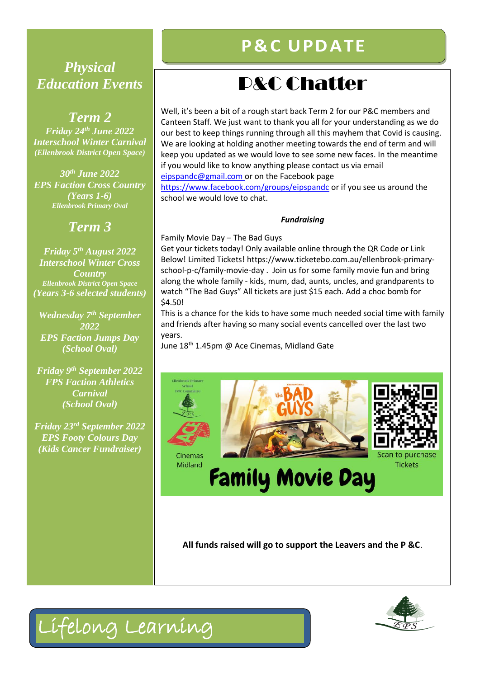### **Differentially**<br>Differential Differents **PhD, EdD, FACEL** *Physical Education Events*

### *Term 2 Friday 24th June 2022 Interschool Winter Carnival (Ellenbrook District Open Space)*

*30th June 2022 EPS Faction Cross Country (Years 1-6) Ellenbrook Primary Oval*

## *Term 3*

*Friday 5th August 2022 Interschool Winter Cross Country Ellenbrook District Open Space (Years 3-6 selected students)*

*Wednesday 7th September 2022 EPS Faction Jumps Day (School Oval)*

*Friday 9 th September 2022 FPS Faction Athletics Carnival (School Oval)*

*Friday 23rd September 2022 EPS Footy Colours Day (Kids Cancer Fundraiser)*

# **P& C U PD ATE**

# P&C Chatter

Well, it's been a bit of a rough start back Term 2 for our P&C members and Canteen Staff. We just want to thank you all for your understanding as we do our best to keep things running through all this mayhem that Covid is causing. We are looking at holding another meeting towards the end of term and will keep you updated as we would love to see some new faces. In the meantime if you would like to know anything please contact us via email [eipspandc@gmail.com](mailto:eipspandc@gmail.com) or on the Facebook page <https://www.facebook.com/groups/eipspandc> or if you see us around the school we would love to chat.

### *Fundraising*

Family Movie Day – The Bad Guys

Get your tickets today! Only available online through the QR Code or Link Below! Limited Tickets! https://www.ticketebo.com.au/ellenbrook-primaryschool-p-c/family-movie-day . Join us for some family movie fun and bring along the whole family - kids, mum, dad, aunts, uncles, and grandparents to watch "The Bad Guys" All tickets are just \$15 each. Add a choc bomb for \$4.50!

This is a chance for the kids to have some much needed social time with family and friends after having so many social events cancelled over the last two years.

June 18th 1.45pm @ Ace Cinemas, Midland Gate



**All funds raised will go to support the Leavers and the P &C**.